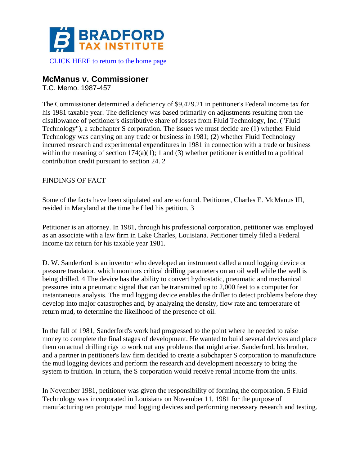

# [CLICK HERE to return to the home page](https://www.bradfordtaxinstitute.com)

# **McManus v. Commissioner**

T.C. Memo. 1987-457

The Commissioner determined a deficiency of \$9,429.21 in petitioner's Federal income tax for his 1981 taxable year. The deficiency was based primarily on adjustments resulting from the disallowance of petitioner's distributive share of losses from Fluid Technology, Inc. ("Fluid Technology"), a subchapter S corporation. The issues we must decide are (1) whether Fluid Technology was carrying on any trade or business in 1981; (2) whether Fluid Technology incurred research and experimental expenditures in 1981 in connection with a trade or business within the meaning of section  $174(a)(1)$ ; 1 and (3) whether petitioner is entitled to a political contribution credit pursuant to section 24. 2

## FINDINGS OF FACT

Some of the facts have been stipulated and are so found. Petitioner, Charles E. McManus III, resided in Maryland at the time he filed his petition. 3

Petitioner is an attorney. In 1981, through his professional corporation, petitioner was employed as an associate with a law firm in Lake Charles, Louisiana. Petitioner timely filed a Federal income tax return for his taxable year 1981.

D. W. Sanderford is an inventor who developed an instrument called a mud logging device or pressure translator, which monitors critical drilling parameters on an oil well while the well is being drilled. 4 The device has the ability to convert hydrostatic, pneumatic and mechanical pressures into a pneumatic signal that can be transmitted up to 2,000 feet to a computer for instantaneous analysis. The mud logging device enables the driller to detect problems before they develop into major catastrophes and, by analyzing the density, flow rate and temperature of return mud, to determine the likelihood of the presence of oil.

In the fall of 1981, Sanderford's work had progressed to the point where he needed to raise money to complete the final stages of development. He wanted to build several devices and place them on actual drilling rigs to work out any problems that might arise. Sanderford, his brother, and a partner in petitioner's law firm decided to create a subchapter S corporation to manufacture the mud logging devices and perform the research and development necessary to bring the system to fruition. In return, the S corporation would receive rental income from the units.

In November 1981, petitioner was given the responsibility of forming the corporation. 5 Fluid Technology was incorporated in Louisiana on November 11, 1981 for the purpose of manufacturing ten prototype mud logging devices and performing necessary research and testing.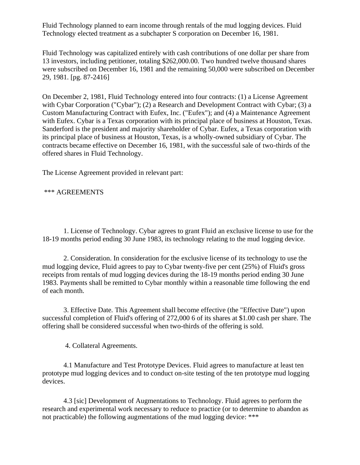Fluid Technology planned to earn income through rentals of the mud logging devices. Fluid Technology elected treatment as a subchapter S corporation on December 16, 1981.

Fluid Technology was capitalized entirely with cash contributions of one dollar per share from 13 investors, including petitioner, totaling \$262,000.00. Two hundred twelve thousand shares were subscribed on December 16, 1981 and the remaining 50,000 were subscribed on December 29, 1981. [pg. 87-2416]

On December 2, 1981, Fluid Technology entered into four contracts: (1) a License Agreement with Cybar Corporation ("Cybar"); (2) a Research and Development Contract with Cybar; (3) a Custom Manufacturing Contract with Eufex, Inc. ("Eufex"); and (4) a Maintenance Agreement with Eufex. Cybar is a Texas corporation with its principal place of business at Houston, Texas. Sanderford is the president and majority shareholder of Cybar. Eufex, a Texas corporation with its principal place of business at Houston, Texas, is a wholly-owned subsidiary of Cybar. The contracts became effective on December 16, 1981, with the successful sale of two-thirds of the offered shares in Fluid Technology.

The License Agreement provided in relevant part:

\*\*\* AGREEMENTS

1. License of Technology. Cybar agrees to grant Fluid an exclusive license to use for the 18-19 months period ending 30 June 1983, its technology relating to the mud logging device.

2. Consideration. In consideration for the exclusive license of its technology to use the mud logging device, Fluid agrees to pay to Cybar twenty-five per cent (25%) of Fluid's gross receipts from rentals of mud logging devices during the 18-19 months period ending 30 June 1983. Payments shall be remitted to Cybar monthly within a reasonable time following the end of each month.

3. Effective Date. This Agreement shall become effective (the "Effective Date") upon successful completion of Fluid's offering of 272,000 6 of its shares at \$1.00 cash per share. The offering shall be considered successful when two-thirds of the offering is sold.

4. Collateral Agreements.

4.1 Manufacture and Test Prototype Devices. Fluid agrees to manufacture at least ten prototype mud logging devices and to conduct on-site testing of the ten prototype mud logging devices.

4.3 [sic] Development of Augmentations to Technology. Fluid agrees to perform the research and experimental work necessary to reduce to practice (or to determine to abandon as not practicable) the following augmentations of the mud logging device: \*\*\*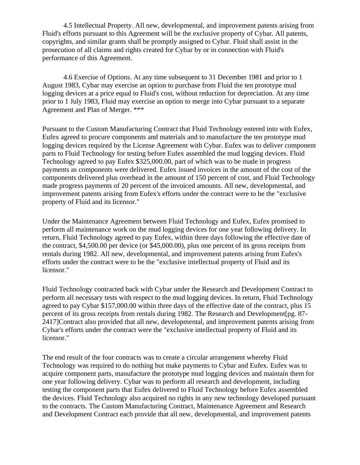4.5 Intellectual Property. All new, developmental, and improvement patents arising from Fluid's efforts pursuant to this Agreement will be the exclusive property of Cybar. All patents, copyrights, and similar grants shall be promptly assigned to Cybar. Fluid shall assist in the prosecution of all claims and rights created for Cybar by or in connection with Fluid's performance of this Agreement.

4.6 Exercise of Options. At any time subsequent to 31 December 1981 and prior to 1 August 1983, Cybar may exercise an option to purchase from Fluid the ten prototype mud logging devices at a price equal to Fluid's cost, without reduction for depreciation. At any time prior to 1 July 1983, Fluid may exercise an option to merge into Cybar pursuant to a separate Agreement and Plan of Merger. \*\*\*

Pursuant to the Custom Manufacturing Contract that Fluid Technology entered into with Eufex, Eufex agreed to procure components and materials and to manufacture the ten prototype mud logging devices required by the License Agreement with Cybar. Eufex was to deliver component parts to Fluid Technology for testing before Eufex assembled the mud logging devices. Fluid Technology agreed to pay Eufex \$325,000.00, part of which was to be made in progress payments as components were delivered. Eufex issued invoices in the amount of the cost of the components delivered plus overhead in the amount of 150 percent of cost, and Fluid Technology made progress payments of 20 percent of the invoiced amounts. All new, developmental, and improvement patents arising from Eufex's efforts under the contract were to be the "exclusive property of Fluid and its licensor."

Under the Maintenance Agreement between Fluid Technology and Eufex, Eufex promised to perform all maintenance work on the mud logging devices for one year following delivery. In return, Fluid Technology agreed to pay Eufex, within three days following the effective date of the contract, \$4,500.00 per device (or \$45,000.00), plus one percent of its gross receipts from rentals during 1982. All new, developmental, and improvement patents arising from Eufex's efforts under the contract were to be the "exclusive intellectual property of Fluid and its licensor."

Fluid Technology contracted back with Cybar under the Research and Development Contract to perform all necessary tests with respect to the mud logging devices. In return, Fluid Technology agreed to pay Cybar \$157,000.00 within three days of the effective date of the contract, plus 15 percent of its gross receipts from rentals during 1982. The Research and Development[pg. 87- 2417]Contract also provided that all new, developmental, and improvement patents arising from Cybar's efforts under the contract were the "exclusive intellectual property of Fluid and its licensor."

The end result of the four contracts was to create a circular arrangement whereby Fluid Technology was required to do nothing but make payments to Cybar and Eufex. Eufex was to acquire component parts, manufacture the prototype mud logging devices and maintain them for one year following delivery. Cybar was to perform all research and development, including testing the component parts that Eufex delivered to Fluid Technology before Eufex assembled the devices. Fluid Technology also acquired no rights in any new technology developed pursuant to the contracts. The Custom Manufacturing Contract, Maintenance Agreement and Research and Development Contract each provide that all new, developmental, and improvement patents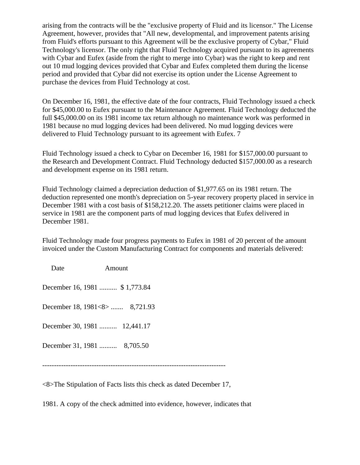arising from the contracts will be the "exclusive property of Fluid and its licensor." The License Agreement, however, provides that "All new, developmental, and improvement patents arising from Fluid's efforts pursuant to this Agreement will be the exclusive property of Cybar," Fluid Technology's licensor. The only right that Fluid Technology acquired pursuant to its agreements with Cybar and Eufex (aside from the right to merge into Cybar) was the right to keep and rent out 10 mud logging devices provided that Cybar and Eufex completed them during the license period and provided that Cybar did not exercise its option under the License Agreement to purchase the devices from Fluid Technology at cost.

On December 16, 1981, the effective date of the four contracts, Fluid Technology issued a check for \$45,000.00 to Eufex pursuant to the Maintenance Agreement. Fluid Technology deducted the full \$45,000.00 on its 1981 income tax return although no maintenance work was performed in 1981 because no mud logging devices had been delivered. No mud logging devices were delivered to Fluid Technology pursuant to its agreement with Eufex. 7

Fluid Technology issued a check to Cybar on December 16, 1981 for \$157,000.00 pursuant to the Research and Development Contract. Fluid Technology deducted \$157,000.00 as a research and development expense on its 1981 return.

Fluid Technology claimed a depreciation deduction of \$1,977.65 on its 1981 return. The deduction represented one month's depreciation on 5-year recovery property placed in service in December 1981 with a cost basis of \$158,212.20. The assets petitioner claims were placed in service in 1981 are the component parts of mud logging devices that Eufex delivered in December 1981.

Fluid Technology made four progress payments to Eufex in 1981 of 20 percent of the amount invoiced under the Custom Manufacturing Contract for components and materials delivered:

Date **Amount** December 16, 1981 .......... \$ 1,773.84 December 18, 1981<8> ....... 8,721.93 December 30, 1981 .......... 12,441.17 December 31, 1981 .......... 8,705.50 ------------------------------------------------------------------------------

<8>The Stipulation of Facts lists this check as dated December 17,

1981. A copy of the check admitted into evidence, however, indicates that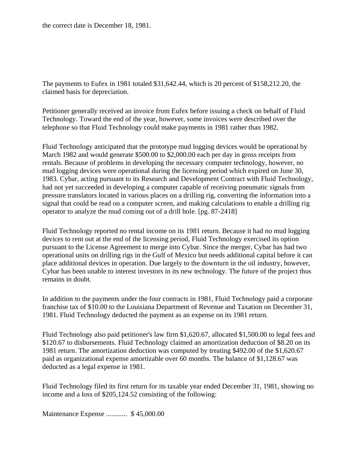the correct date is December 18, 1981.

The payments to Eufex in 1981 totaled \$31,642.44, which is 20 percent of \$158,212.20, the claimed basis for depreciation.

Petitioner generally received an invoice from Eufex before issuing a check on behalf of Fluid Technology. Toward the end of the year, however, some invoices were described over the telephone so that Fluid Technology could make payments in 1981 rather than 1982.

Fluid Technology anticipated that the prototype mud logging devices would be operational by March 1982 and would generate \$500.00 to \$2,000.00 each per day in gross receipts from rentals. Because of problems in developing the necessary computer technology, however, no mud logging devices were operational during the licensing period which expired on June 30, 1983. Cybar, acting pursuant to its Research and Development Contract with Fluid Technology, had not yet succeeded in developing a computer capable of receiving pneumatic signals from pressure translators located in various places on a drilling rig, converting the information into a signal that could be read on a computer screen, and making calculations to enable a drilling rig operator to analyze the mud coming out of a drill hole. [pg. 87-2418]

Fluid Technology reported no rental income on its 1981 return. Because it had no mud logging devices to rent out at the end of the licensing period, Fluid Technology exercised its option pursuant to the License Agreement to merge into Cybar. Since the merger, Cybar has had two operational units on drilling rigs in the Gulf of Mexico but needs additional capital before it can place additional devices in operation. Due largely to the downturn in the oil industry, however, Cybar has been unable to interest investors in its new technology. The future of the project thus remains in doubt.

In addition to the payments under the four contracts in 1981, Fluid Technology paid a corporate franchise tax of \$10.00 to the Louisiana Department of Revenue and Taxation on December 31, 1981. Fluid Technology deducted the payment as an expense on its 1981 return.

Fluid Technology also paid petitioner's law firm \$1,620.67, allocated \$1,500.00 to legal fees and \$120.67 to disbursements. Fluid Technology claimed an amortization deduction of \$8.20 on its 1981 return. The amortization deduction was computed by treating \$492.00 of the \$1,620.67 paid as organizational expense amortizable over 60 months. The balance of \$1,128.67 was deducted as a legal expense in 1981.

Fluid Technology filed its first return for its taxable year ended December 31, 1981, showing no income and a loss of \$205,124.52 consisting of the following:

Maintenance Expense ............ \$ 45,000.00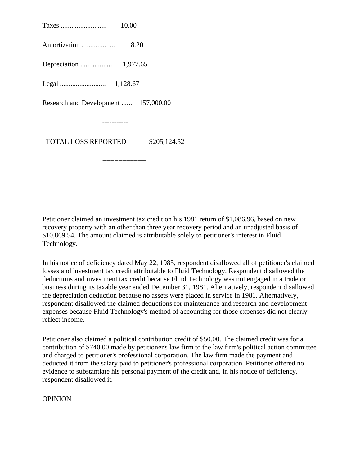Taxes .......................... 10.00 Amortization ................... 8.20 Depreciation ................... 1,977.65 Legal .......................... 1,128.67 Research and Development ....... 157,000.00 ----------- TOTAL LOSS REPORTED \$205,124.52

===========

Petitioner claimed an investment tax credit on his 1981 return of \$1,086.96, based on new recovery property with an other than three year recovery period and an unadjusted basis of \$10,869.54. The amount claimed is attributable solely to petitioner's interest in Fluid Technology.

In his notice of deficiency dated May 22, 1985, respondent disallowed all of petitioner's claimed losses and investment tax credit attributable to Fluid Technology. Respondent disallowed the deductions and investment tax credit because Fluid Technology was not engaged in a trade or business during its taxable year ended December 31, 1981. Alternatively, respondent disallowed the depreciation deduction because no assets were placed in service in 1981. Alternatively, respondent disallowed the claimed deductions for maintenance and research and development expenses because Fluid Technology's method of accounting for those expenses did not clearly reflect income.

Petitioner also claimed a political contribution credit of \$50.00. The claimed credit was for a contribution of \$740.00 made by petitioner's law firm to the law firm's political action committee and charged to petitioner's professional corporation. The law firm made the payment and deducted it from the salary paid to petitioner's professional corporation. Petitioner offered no evidence to substantiate his personal payment of the credit and, in his notice of deficiency, respondent disallowed it.

**OPINION**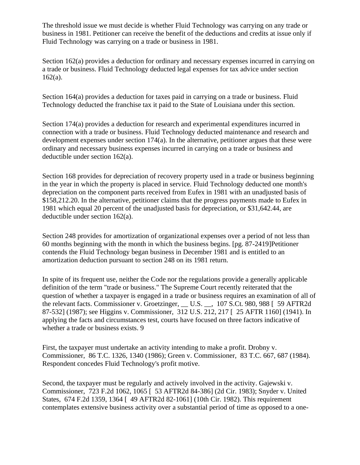The threshold issue we must decide is whether Fluid Technology was carrying on any trade or business in 1981. Petitioner can receive the benefit of the deductions and credits at issue only if Fluid Technology was carrying on a trade or business in 1981.

Section 162(a) provides a deduction for ordinary and necessary expenses incurred in carrying on a trade or business. Fluid Technology deducted legal expenses for tax advice under section 162(a).

Section 164(a) provides a deduction for taxes paid in carrying on a trade or business. Fluid Technology deducted the franchise tax it paid to the State of Louisiana under this section.

Section 174(a) provides a deduction for research and experimental expenditures incurred in connection with a trade or business. Fluid Technology deducted maintenance and research and development expenses under section 174(a). In the alternative, petitioner argues that these were ordinary and necessary business expenses incurred in carrying on a trade or business and deductible under section 162(a).

Section 168 provides for depreciation of recovery property used in a trade or business beginning in the year in which the property is placed in service. Fluid Technology deducted one month's depreciation on the component parts received from Eufex in 1981 with an unadjusted basis of \$158,212.20. In the alternative, petitioner claims that the progress payments made to Eufex in 1981 which equal 20 percent of the unadjusted basis for depreciation, or \$31,642.44, are deductible under section 162(a).

Section 248 provides for amortization of organizational expenses over a period of not less than 60 months beginning with the month in which the business begins. [pg. 87-2419]Petitioner contends the Fluid Technology began business in December 1981 and is entitled to an amortization deduction pursuant to section 248 on its 1981 return.

In spite of its frequent use, neither the Code nor the regulations provide a generally applicable definition of the term "trade or business." The Supreme Court recently reiterated that the question of whether a taxpayer is engaged in a trade or business requires an examination of all of the relevant facts. Commissioner v. Groetzinger, \_\_ U.S. \_\_, 107 S.Ct. 980, 988 [ 59 AFTR2d 87-532] (1987); see Higgins v. Commissioner, 312 U.S. 212, 217 [ 25 AFTR 1160] (1941). In applying the facts and circumstances test, courts have focused on three factors indicative of whether a trade or business exists. 9

First, the taxpayer must undertake an activity intending to make a profit. Drobny v. Commissioner, 86 T.C. 1326, 1340 (1986); Green v. Commissioner, 83 T.C. 667, 687 (1984). Respondent concedes Fluid Technology's profit motive.

Second, the taxpayer must be regularly and actively involved in the activity. Gajewski v. Commissioner, 723 F.2d 1062, 1065 [ 53 AFTR2d 84-386] (2d Cir. 1983); Snyder v. United States, 674 F.2d 1359, 1364 [ 49 AFTR2d 82-1061] (10th Cir. 1982). This requirement contemplates extensive business activity over a substantial period of time as opposed to a one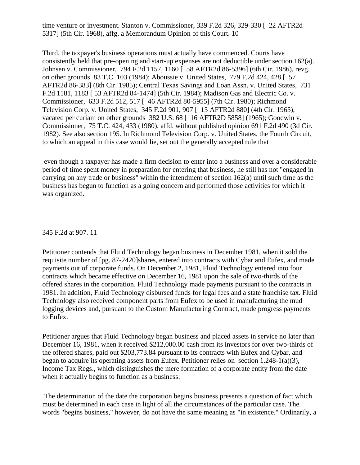time venture or investment. Stanton v. Commissioner, 339 F.2d 326, 329-330 [ 22 AFTR2d 5317] (5th Cir. 1968), affg. a Memorandum Opinion of this Court. 10

Third, the taxpayer's business operations must actually have commenced. Courts have consistently held that pre-opening and start-up expenses are not deductible under section 162(a). Johnsen v. Commissioner, 794 F.2d 1157, 1160 [ 58 AFTR2d 86-5396] (6th Cir. 1986), revg. on other grounds 83 T.C. 103 (1984); Aboussie v. United States, 779 F.2d 424, 428 [ 57 AFTR2d 86-383] (8th Cir. 1985); Central Texas Savings and Loan Assn. v. United States, 731 F.2d 1181, 1183 [ 53 AFTR2d 84-1474] (5th Cir. 1984); Madison Gas and Electric Co. v. Commissioner, 633 F.2d 512, 517 [ 46 AFTR2d 80-5955] (7th Cir. 1980); Richmond Television Corp. v. United States, 345 F.2d 901, 907 [ 15 AFTR2d 880] (4th Cir. 1965), vacated per curiam on other grounds 382 U.S. 68 [ 16 AFTR2D 5858] (1965); Goodwin v. Commissioner, 75 T.C. 424, 433 (1980), affd. without published opinion 691 F.2d 490 (3d Cir. 1982). See also section 195. In Richmond Television Corp. v. United States, the Fourth Circuit, to which an appeal in this case would lie, set out the generally accepted rule that

even though a taxpayer has made a firm decision to enter into a business and over a considerable period of time spent money in preparation for entering that business, he still has not "engaged in carrying on any trade or business" within the intendment of section 162(a) until such time as the business has begun to function as a going concern and performed those activities for which it was organized.

#### 345 F.2d at 907. 11

Petitioner contends that Fluid Technology began business in December 1981, when it sold the requisite number of [pg. 87-2420]shares, entered into contracts with Cybar and Eufex, and made payments out of corporate funds. On December 2, 1981, Fluid Technology entered into four contracts which became effective on December 16, 1981 upon the sale of two-thirds of the offered shares in the corporation. Fluid Technology made payments pursuant to the contracts in 1981. In addition, Fluid Technology disbursed funds for legal fees and a state franchise tax. Fluid Technology also received component parts from Eufex to be used in manufacturing the mud logging devices and, pursuant to the Custom Manufacturing Contract, made progress payments to Eufex.

Petitioner argues that Fluid Technology began business and placed assets in service no later than December 16, 1981, when it received \$212,000.00 cash from its investors for over two-thirds of the offered shares, paid out \$203,773.84 pursuant to its contracts with Eufex and Cybar, and began to acquire its operating assets from Eufex. Petitioner relies on section 1.248-1(a)(3), Income Tax Regs., which distinguishes the mere formation of a corporate entity from the date when it actually begins to function as a business:

The determination of the date the corporation begins business presents a question of fact which must be determined in each case in light of all the circumstances of the particular case. The words "begins business," however, do not have the same meaning as "in existence." Ordinarily, a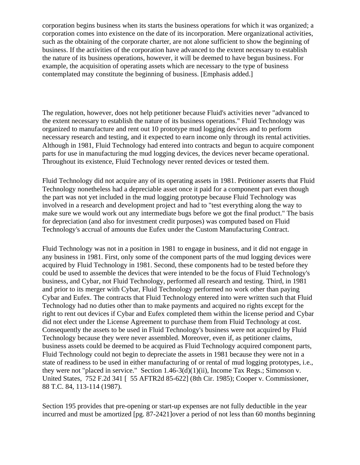corporation begins business when its starts the business operations for which it was organized; a corporation comes into existence on the date of its incorporation. Mere organizational activities, such as the obtaining of the corporate charter, are not alone sufficient to show the beginning of business. If the activities of the corporation have advanced to the extent necessary to establish the nature of its business operations, however, it will be deemed to have begun business. For example, the acquisition of operating assets which are necessary to the type of business contemplated may constitute the beginning of business. [Emphasis added.]

The regulation, however, does not help petitioner because Fluid's activities never "advanced to the extent necessary to establish the nature of its business operations." Fluid Technology was organized to manufacture and rent out 10 prototype mud logging devices and to perform necessary research and testing, and it expected to earn income only through its rental activities. Although in 1981, Fluid Technology had entered into contracts and begun to acquire component parts for use in manufacturing the mud logging devices, the devices never became operational. Throughout its existence, Fluid Technology never rented devices or tested them.

Fluid Technology did not acquire any of its operating assets in 1981. Petitioner asserts that Fluid Technology nonetheless had a depreciable asset once it paid for a component part even though the part was not yet included in the mud logging prototype because Fluid Technology was involved in a research and development project and had to "test everything along the way to make sure we would work out any intermediate bugs before we got the final product." The basis for depreciation (and also for investment credit purposes) was computed based on Fluid Technology's accrual of amounts due Eufex under the Custom Manufacturing Contract.

Fluid Technology was not in a position in 1981 to engage in business, and it did not engage in any business in 1981. First, only some of the component parts of the mud logging devices were acquired by Fluid Technology in 1981. Second, these components had to be tested before they could be used to assemble the devices that were intended to be the focus of Fluid Technology's business, and Cybar, not Fluid Technology, performed all research and testing. Third, in 1981 and prior to its merger with Cybar, Fluid Technology performed no work other than paying Cybar and Eufex. The contracts that Fluid Technology entered into were written such that Fluid Technology had no duties other than to make payments and acquired no rights except for the right to rent out devices if Cybar and Eufex completed them within the license period and Cybar did not elect under the License Agreement to purchase them from Fluid Technology at cost. Consequently the assets to be used in Fluid Technology's business were not acquired by Fluid Technology because they were never assembled. Moreover, even if, as petitioner claims, business assets could be deemed to be acquired as Fluid Technology acquired component parts, Fluid Technology could not begin to depreciate the assets in 1981 because they were not in a state of readiness to be used in either manufacturing of or rental of mud logging prototypes, i.e., they were not "placed in service." Section 1.46-3(d)(1)(ii), Income Tax Regs.; Simonson v. United States, 752 F.2d 341 [ 55 AFTR2d 85-622] (8th Cir. 1985); Cooper v. Commissioner, 88 T.C. 84, 113-114 (1987).

Section 195 provides that pre-opening or start-up expenses are not fully deductible in the year incurred and must be amortized [pg. 87-2421]over a period of not less than 60 months beginning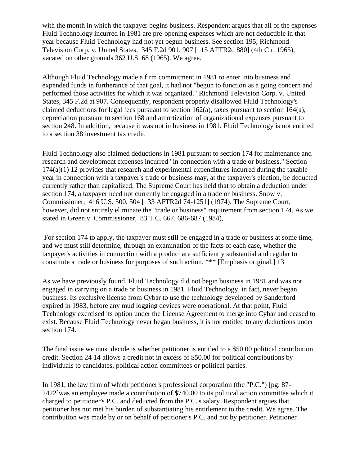with the month in which the taxpayer begins business. Respondent argues that all of the expenses Fluid Technology incurred in 1981 are pre-opening expenses which are not deductible in that year because Fluid Technology had not yet begun business. See section 195; Richmond Television Corp. v. United States, 345 F.2d 901, 907 [ 15 AFTR2d 880] (4th Cir. 1965), vacated on other grounds 362 U.S. 68 (1965). We agree.

Although Fluid Technology made a firm commitment in 1981 to enter into business and expended funds in furtherance of that goal, it had not "begun to function as a going concern and performed those activities for which it was organized." Richmond Television Corp. v. United States, 345 F.2d at 907. Consequently, respondent properly disallowed Fluid Technology's claimed deductions for legal fees pursuant to section 162(a), taxes pursuant to section 164(a), depreciation pursuant to section 168 and amortization of organizational expenses pursuant to section 248. In addition, because it was not in business in 1981, Fluid Technology is not entitled to a section 38 investment tax credit.

Fluid Technology also claimed deductions in 1981 pursuant to section 174 for maintenance and research and development expenses incurred "in connection with a trade or business." Section  $174(a)(1)$  12 provides that research and experimental expenditures incurred during the taxable year in connection with a taxpayer's trade or business may, at the taxpayer's election, be deducted currently rather than capitalized. The Supreme Court has held that to obtain a deduction under section 174, a taxpayer need not currently be engaged in a trade or business. Snow v. Commissioner, 416 U.S. 500, 504 [ 33 AFTR2d 74-1251] (1974). The Supreme Court, however, did not entirely eliminate the "trade or business" requirement from section 174. As we stated in Green v. Commissioner, 83 T.C. 667, 686-687 (1984),

For section 174 to apply, the taxpayer must still be engaged in a trade or business at some time, and we must still determine, through an examination of the facts of each case, whether the taxpayer's activities in connection with a product are sufficiently substantial and regular to constitute a trade or business for purposes of such action. \*\*\* [Emphasis original.] 13

As we have previously found, Fluid Technology did not begin business in 1981 and was not engaged in carrying on a trade or business in 1981. Fluid Technology, in fact, never began business. Its exclusive license from Cybar to use the technology developed by Sanderford expired in 1983, before any mud logging devices were operational. At that point, Fluid Technology exercised its option under the License Agreement to merge into Cybar and ceased to exist. Because Fluid Technology never began business, it is not entitled to any deductions under section 174.

The final issue we must decide is whether petitioner is entitled to a \$50.00 political contribution credit. Section 24 14 allows a credit not in excess of \$50.00 for political contributions by individuals to candidates, political action committees or political parties.

In 1981, the law firm of which petitioner's professional corporation (the "P.C.") [pg. 87- 2422]was an employee made a contribution of \$740.00 to its political action committee which it charged to petitioner's P.C. and deducted from the P.C.'s salary. Respondent argues that petitioner has not met his burden of substantiating his entitlement to the credit. We agree. The contribution was made by or on behalf of petitioner's P.C. and not by petitioner. Petitioner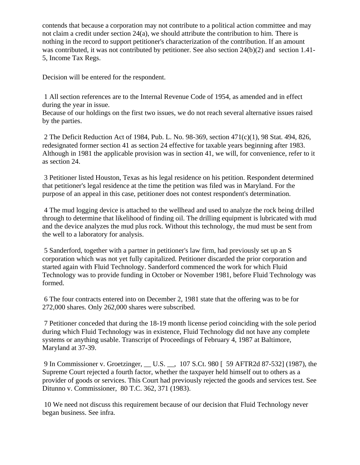contends that because a corporation may not contribute to a political action committee and may not claim a credit under section 24(a), we should attribute the contribution to him. There is nothing in the record to support petitioner's characterization of the contribution. If an amount was contributed, it was not contributed by petitioner. See also section 24(b)(2) and section 1.41- 5, Income Tax Regs.

Decision will be entered for the respondent.

1 All section references are to the Internal Revenue Code of 1954, as amended and in effect during the year in issue.

Because of our holdings on the first two issues, we do not reach several alternative issues raised by the parties.

2 The Deficit Reduction Act of 1984, Pub. L. No. 98-369, section 471(c)(1), 98 Stat. 494, 826, redesignated former section 41 as section 24 effective for taxable years beginning after 1983. Although in 1981 the applicable provision was in section 41, we will, for convenience, refer to it as section 24.

3 Petitioner listed Houston, Texas as his legal residence on his petition. Respondent determined that petitioner's legal residence at the time the petition was filed was in Maryland. For the purpose of an appeal in this case, petitioner does not contest respondent's determination.

4 The mud logging device is attached to the wellhead and used to analyze the rock being drilled through to determine that likelihood of finding oil. The drilling equipment is lubricated with mud and the device analyzes the mud plus rock. Without this technology, the mud must be sent from the well to a laboratory for analysis.

5 Sanderford, together with a partner in petitioner's law firm, had previously set up an S corporation which was not yet fully capitalized. Petitioner discarded the prior corporation and started again with Fluid Technology. Sanderford commenced the work for which Fluid Technology was to provide funding in October or November 1981, before Fluid Technology was formed.

6 The four contracts entered into on December 2, 1981 state that the offering was to be for 272,000 shares. Only 262,000 shares were subscribed.

7 Petitioner conceded that during the 18-19 month license period coinciding with the sole period during which Fluid Technology was in existence, Fluid Technology did not have any complete systems or anything usable. Transcript of Proceedings of February 4, 1987 at Baltimore, Maryland at 37-39.

9 In Commissioner v. Groetzinger, \_\_ U.S. \_\_, 107 S.Ct. 980 [ 59 AFTR2d 87-532] (1987), the Supreme Court rejected a fourth factor, whether the taxpayer held himself out to others as a provider of goods or services. This Court had previously rejected the goods and services test. See Ditunno v. Commissioner, 80 T.C. 362, 371 (1983).

10 We need not discuss this requirement because of our decision that Fluid Technology never began business. See infra.